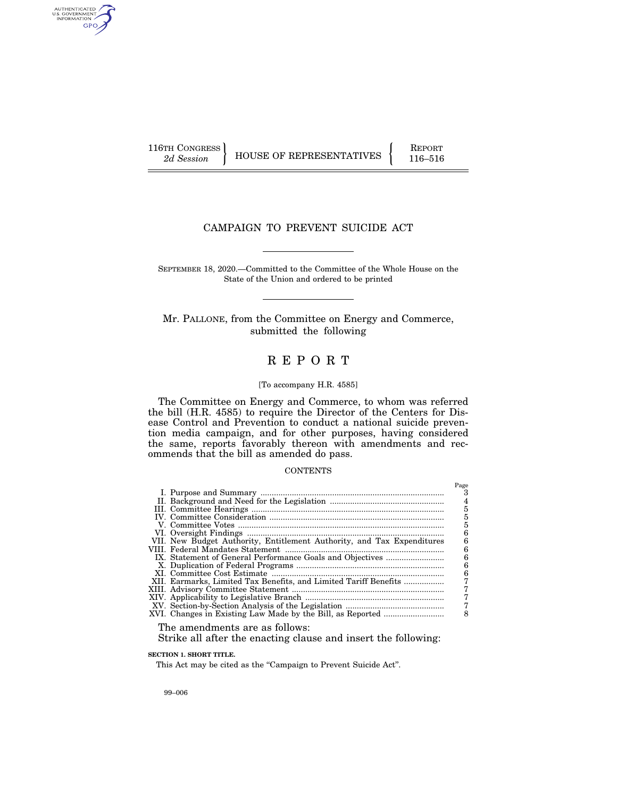AUTHENTICATED<br>U.S. GOVERNMENT<br>INFORMATION GPO

116TH CONGRESS HOUSE OF REPRESENTATIVES FEPORT 116–516

# CAMPAIGN TO PREVENT SUICIDE ACT

SEPTEMBER 18, 2020.—Committed to the Committee of the Whole House on the State of the Union and ordered to be printed

Mr. PALLONE, from the Committee on Energy and Commerce, submitted the following

# R E P O R T

#### [To accompany H.R. 4585]

The Committee on Energy and Commerce, to whom was referred the bill (H.R. 4585) to require the Director of the Centers for Disease Control and Prevention to conduct a national suicide prevention media campaign, and for other purposes, having considered the same, reports favorably thereon with amendments and recommends that the bill as amended do pass.

#### **CONTENTS**

|                                                                        | Page |
|------------------------------------------------------------------------|------|
|                                                                        |      |
|                                                                        |      |
|                                                                        | 5    |
|                                                                        |      |
|                                                                        | 5    |
|                                                                        | 6    |
| VII. New Budget Authority, Entitlement Authority, and Tax Expenditures | 6    |
|                                                                        | 6    |
|                                                                        | б    |
|                                                                        | 6    |
|                                                                        | 6    |
| XII. Earmarks, Limited Tax Benefits, and Limited Tariff Benefits       |      |
|                                                                        |      |
|                                                                        |      |
|                                                                        |      |
|                                                                        |      |
|                                                                        |      |

The amendments are as follows:

Strike all after the enacting clause and insert the following:

**SECTION 1. SHORT TITLE.** 

This Act may be cited as the "Campaign to Prevent Suicide Act".

99–006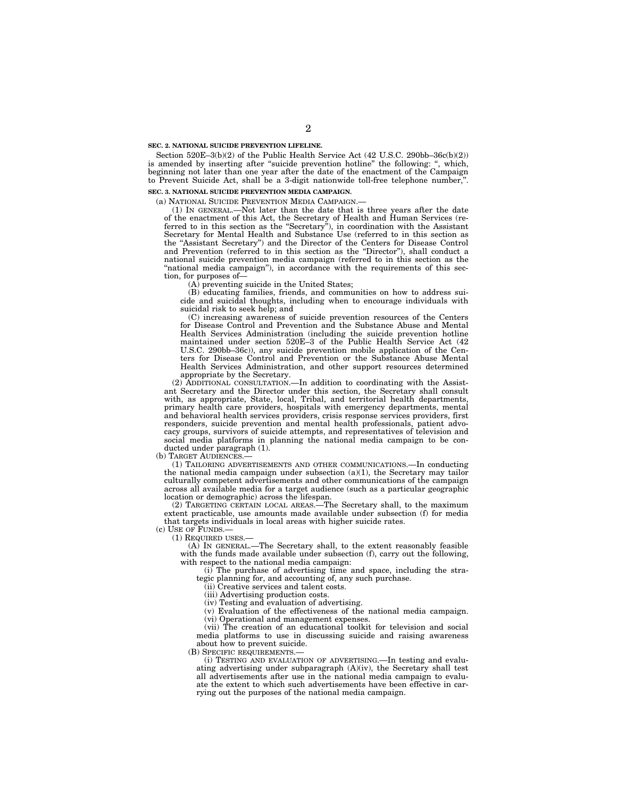#### **SEC. 2. NATIONAL SUICIDE PREVENTION LIFELINE.**

Section 520E–3(b)(2) of the Public Health Service Act (42 U.S.C. 290bb–36c(b)(2)) is amended by inserting after "suicide prevention hotline" the following: ", which, beginning not later than one year after the date of the enactment of the Campaign to Prevent Suicide Act, shall be a 3-digit nationwide toll-free telephone number,''.

#### **SEC. 3. NATIONAL SUICIDE PREVENTION MEDIA CAMPAIGN.**

(a) NATIONAL SUICIDE PREVENTION MEDIA CAMPAIGN.—

(1) IN GENERAL.—Not later than the date that is three years after the date of the enactment of this Act, the Secretary of Health and Human Services (referred to in this section as the ''Secretary''), in coordination with the Assistant Secretary for Mental Health and Substance Use (referred to in this section as the ''Assistant Secretary'') and the Director of the Centers for Disease Control and Prevention (referred to in this section as the ''Director''), shall conduct a national suicide prevention media campaign (referred to in this section as the ''national media campaign''), in accordance with the requirements of this section, for purposes of—

(A) preventing suicide in the United States;

(B) educating families, friends, and communities on how to address suicide and suicidal thoughts, including when to encourage individuals with suicidal risk to seek help; and

(C) increasing awareness of suicide prevention resources of the Centers for Disease Control and Prevention and the Substance Abuse and Mental Health Services Administration (including the suicide prevention hotline maintained under section 520E–3 of the Public Health Service Act (42 U.S.C. 290bb–36c)), any suicide prevention mobile application of the Centers for Disease Control and Prevention or the Substance Abuse Mental Health Services Administration, and other support resources determined appropriate by the Secretary.

(2) ADDITIONAL CONSULTATION.—In addition to coordinating with the Assistant Secretary and the Director under this section, the Secretary shall consult with, as appropriate, State, local, Tribal, and territorial health departments, primary health care providers, hospitals with emergency departments, mental and behavioral health services providers, crisis response services providers, first responders, suicide prevention and mental health professionals, patient advocacy groups, survivors of suicide attempts, and representatives of television and social media platforms in planning the national media campaign to be conducted under paragraph (1).

(b) TARGET AUDIENCES.

(1) TAILORING ADVERTISEMENTS AND OTHER COMMUNICATIONS.—In conducting the national media campaign under subsection  $(a)(1)$ , the Secretary may tailor culturally competent advertisements and other communications of the campaign across all available media for a target audience (such as a particular geographic location or demographic) across the lifespan.

(2) TARGETING CERTAIN LOCAL AREAS.—The Secretary shall, to the maximum extent practicable, use amounts made available under subsection (f) for media that targets individuals in local areas with higher suicide rates.

 $(c)$  Use of Funds.

(1) REQUIRED USES.—

(A) IN GENERAL.—The Secretary shall, to the extent reasonably feasible with the funds made available under subsection (f), carry out the following, with respect to the national media campaign:

(i) The purchase of advertising time and space, including the strategic planning for, and accounting of, any such purchase.

(ii) Creative services and talent costs.

(iii) Advertising production costs.

(iv) Testing and evaluation of advertising.

(v) Evaluation of the effectiveness of the national media campaign. (vi) Operational and management expenses.

(vii) The creation of an educational toolkit for television and social media platforms to use in discussing suicide and raising awareness about how to prevent suicide.

(B) SPECIFIC REQUIREMENTS.—

(i) TESTING AND EVALUATION OF ADVERTISING.—In testing and evaluating advertising under subparagraph (A)(iv), the Secretary shall test all advertisements after use in the national media campaign to evaluate the extent to which such advertisements have been effective in carrying out the purposes of the national media campaign.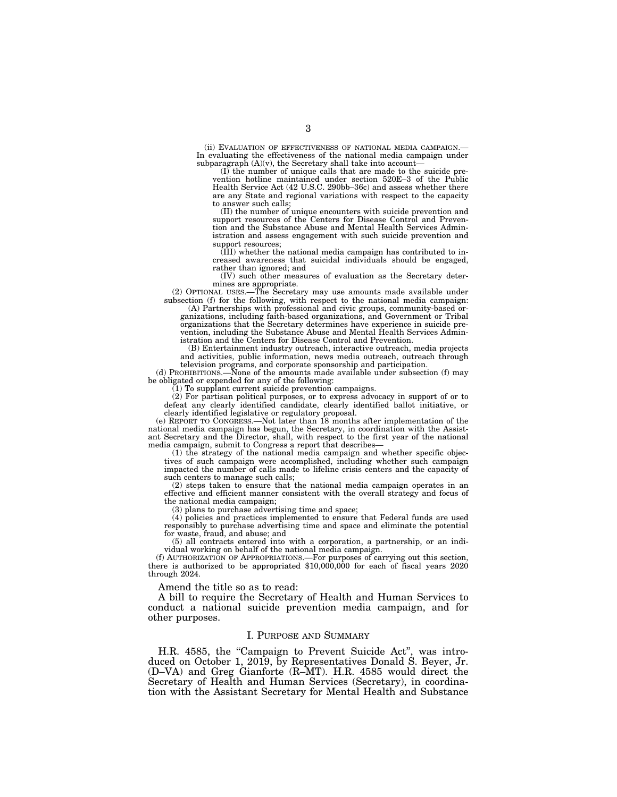(ii) EVALUATION OF EFFECTIVENESS OF NATIONAL MEDIA CAMPAIGN. In evaluating the effectiveness of the national media campaign under subparagraph  $(A)(v)$ , the Secretary shall take into account-

(I) the number of unique calls that are made to the suicide prevention hotline maintained under section 520E–3 of the Public Health Service Act (42 U.S.C. 290bb–36c) and assess whether there are any State and regional variations with respect to the capacity to answer such calls;

(II) the number of unique encounters with suicide prevention and support resources of the Centers for Disease Control and Prevention and the Substance Abuse and Mental Health Services Administration and assess engagement with such suicide prevention and support resources;

(III) whether the national media campaign has contributed to increased awareness that suicidal individuals should be engaged, rather than ignored; and

(IV) such other measures of evaluation as the Secretary determines are appropriate.

(2) OPTIONAL USES.—The Secretary may use amounts made available under subsection (f) for the following, with respect to the national media campaign:

(A) Partnerships with professional and civic groups, community-based organizations, including faith-based organizations, and Government or Tribal organizations that the Secretary determines have experience in suicide prevention, including the Substance Abuse and Mental Health Services Administration and the Centers for Disease Control and Prevention.

(B) Entertainment industry outreach, interactive outreach, media projects and activities, public information, news media outreach, outreach through

television programs, and corporate sponsorship and participation. (d) PROHIBITIONS.—None of the amounts made available under subsection (f) may be obligated or expended for any of the following:

(1) To supplant current suicide prevention campaigns.

(2) For partisan political purposes, or to express advocacy in support of or to defeat any clearly identified candidate, clearly identified ballot initiative, or clearly identified legislative or regulatory proposal.

(e) REPORT TO CONGRESS.—Not later than 18 months after implementation of the national media campaign has begun, the Secretary, in coordination with the Assistant Secretary and the Director, shall, with respect to the first year of the national media campaign, submit to Congress a report that describes—

(1) the strategy of the national media campaign and whether specific objectives of such campaign were accomplished, including whether such campaign impacted the number of calls made to lifeline crisis centers and the capacity of such centers to manage such calls;

(2) steps taken to ensure that the national media campaign operates in an effective and efficient manner consistent with the overall strategy and focus of the national media campaign;

(3) plans to purchase advertising time and space;

(4) policies and practices implemented to ensure that Federal funds are used responsibly to purchase advertising time and space and eliminate the potential for waste, fraud, and abuse; and

(5) all contracts entered into with a corporation, a partnership, or an individual working on behalf of the national media campaign.

(f) AUTHORIZATION OF APPROPRIATIONS.—For purposes of carrying out this section, there is authorized to be appropriated \$10,000,000 for each of fiscal years 2020 through 2024.

Amend the title so as to read:

A bill to require the Secretary of Health and Human Services to conduct a national suicide prevention media campaign, and for other purposes.

## I. PURPOSE AND SUMMARY

H.R. 4585, the "Campaign to Prevent Suicide Act", was introduced on October 1, 2019, by Representatives Donald S. Beyer, Jr. (D–VA) and Greg Gianforte (R–MT). H.R. 4585 would direct the Secretary of Health and Human Services (Secretary), in coordination with the Assistant Secretary for Mental Health and Substance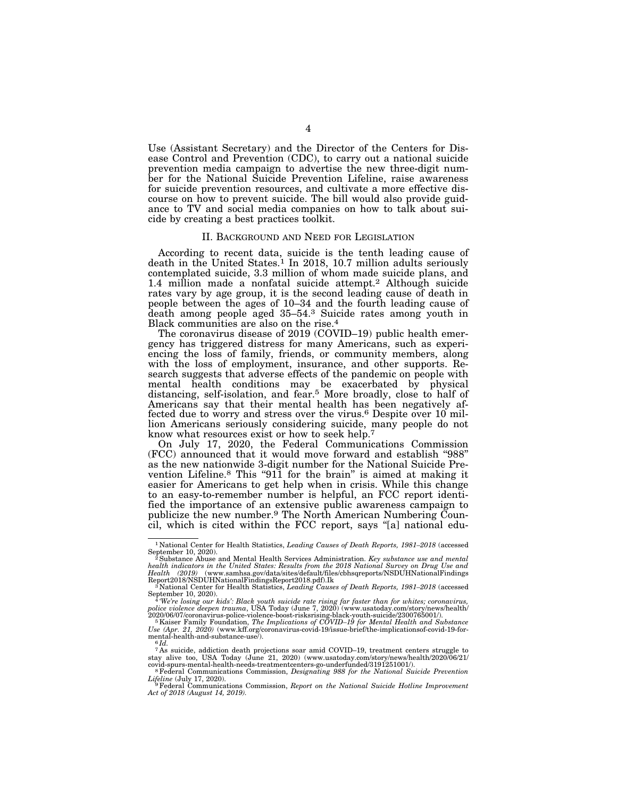Use (Assistant Secretary) and the Director of the Centers for Disease Control and Prevention (CDC), to carry out a national suicide prevention media campaign to advertise the new three-digit number for the National Suicide Prevention Lifeline, raise awareness for suicide prevention resources, and cultivate a more effective discourse on how to prevent suicide. The bill would also provide guidance to TV and social media companies on how to talk about suicide by creating a best practices toolkit.

#### II. BACKGROUND AND NEED FOR LEGISLATION

According to recent data, suicide is the tenth leading cause of death in the United States.<sup>1</sup> In 2018, 10.7 million adults seriously contemplated suicide, 3.3 million of whom made suicide plans, and 1.4 million made a nonfatal suicide attempt.<sup>2</sup> Although suicide rates vary by age group, it is the second leading cause of death in people between the ages of 10–34 and the fourth leading cause of death among people aged 35–54.3 Suicide rates among youth in Black communities are also on the rise.4

The coronavirus disease of 2019 (COVID–19) public health emergency has triggered distress for many Americans, such as experiencing the loss of family, friends, or community members, along with the loss of employment, insurance, and other supports. Research suggests that adverse effects of the pandemic on people with mental health conditions may be exacerbated by physical distancing, self-isolation, and fear.5 More broadly, close to half of Americans say that their mental health has been negatively affected due to worry and stress over the virus.6 Despite over 10 million Americans seriously considering suicide, many people do not know what resources exist or how to seek help.7

On July 17, 2020, the Federal Communications Commission (FCC) announced that it would move forward and establish ''988'' as the new nationwide 3-digit number for the National Suicide Prevention Lifeline.<sup>8</sup> This "911 for the brain" is aimed at making it easier for Americans to get help when in crisis. While this change to an easy-to-remember number is helpful, an FCC report identified the importance of an extensive public awareness campaign to publicize the new number.9 The North American Numbering Council, which is cited within the FCC report, says ''[a] national edu-

<sup>1</sup> National Center for Health Statistics, *Leading Causes of Death Reports, 1981–2018* (accessed

September 10, 2020).<br><sup>2</sup> Substance Abuse and Mental Health Services Administration. *Key substance use and mental*<br>health indicators in the United States: Results from the 2018 National Survey on Drug Use and *Health (2019)* (www.samhsa.gov/data/sites/default/files/cbhsqreports/NSDUHNationalFindings Report2018/NSDUHNationalFindingsReport2018.pdf).Ik 3 National Center for Health Statistics, *Leading Causes of Death Reports, 1981–2018* (accessed

September 10, 2020).<br><sup>4</sup> 'We're losing our kids': Black youth suicide rate rising far faster than for whites; coronavirus,<br>police violence deepen trauma, USA Today (June 7, 2020) (www.usatoday.com/story/news/health/

<sup>2020/06/07/</sup>coronavirus-police-violence-boost-risksrising-black-youth-suicide/2300765001/).<br><sup>5</sup> Kaiser Family Foundation, *The Implications of COVID-19 for Mental Health and Substance*<br><sup>Use</sup> (Apr. 21, 2020) (www.kff.org/cor mental-health-and-substance-use/). 6 *Id.* 

<sup>7</sup> As suicide, addiction death projections soar amid COVID–19, treatment centers struggle to stay alive too, USA Today (June 21, 2020) (www.usatoday.com/story/news/health/2020/06/21/<br>covid-spurs-mental-health-needs-treatmentcenters-go-underfunded/3191251001/).

<sup>&</sup>lt;sup>8</sup> Federal Communications-Commission, *Designating 988 for the National Suicide Prevention Lifeline* (July 17, 2020). 9Federal Communications Commission, *Report on the National Suicide Hotline Improvement* 

*Act of 2018 (August 14, 2019).*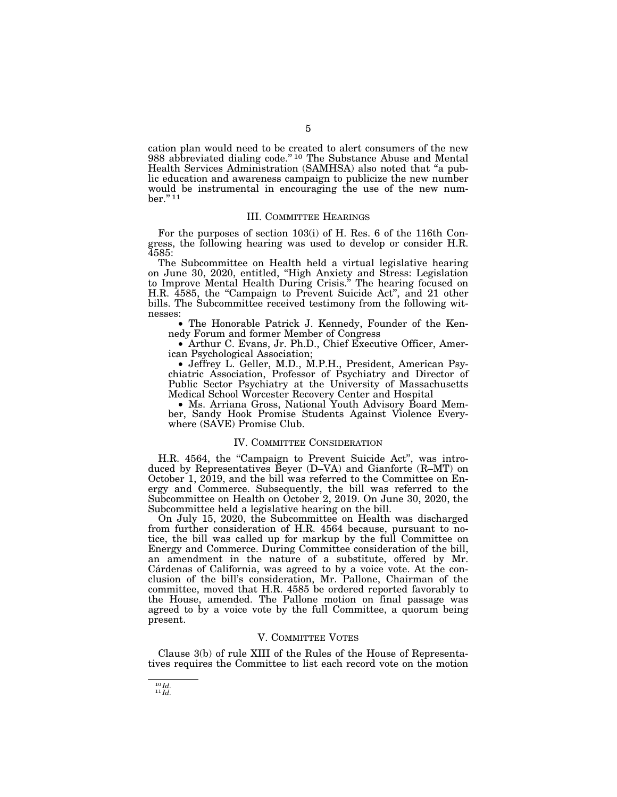cation plan would need to be created to alert consumers of the new 988 abbreviated dialing code."<sup>10</sup> The Substance Abuse and Mental Health Services Administration (SAMHSA) also noted that ''a public education and awareness campaign to publicize the new number would be instrumental in encouraging the use of the new number.'' 11

#### III. COMMITTEE HEARINGS

For the purposes of section 103(i) of H. Res. 6 of the 116th Congress, the following hearing was used to develop or consider H.R. 4585:

The Subcommittee on Health held a virtual legislative hearing on June 30, 2020, entitled, ''High Anxiety and Stress: Legislation to Improve Mental Health During Crisis.'' The hearing focused on H.R. 4585, the "Campaign to Prevent Suicide Act", and 21 other bills. The Subcommittee received testimony from the following witnesses:

• The Honorable Patrick J. Kennedy, Founder of the Kennedy Forum and former Member of Congress

• Arthur C. Evans, Jr. Ph.D., Chief Executive Officer, American Psychological Association;

• Jeffrey L. Geller, M.D., M.P.H., President, American Psychiatric Association, Professor of Psychiatry and Director of Public Sector Psychiatry at the University of Massachusetts Medical School Worcester Recovery Center and Hospital

• Ms. Arriana Gross, National Youth Advisory Board Member, Sandy Hook Promise Students Against Violence Everywhere (SAVE) Promise Club.

## IV. COMMITTEE CONSIDERATION

H.R. 4564, the "Campaign to Prevent Suicide Act", was introduced by Representatives Beyer (D–VA) and Gianforte (R–MT) on October 1, 2019, and the bill was referred to the Committee on Energy and Commerce. Subsequently, the bill was referred to the Subcommittee on Health on October 2, 2019. On June 30, 2020, the Subcommittee held a legislative hearing on the bill.

On July 15, 2020, the Subcommittee on Health was discharged from further consideration of H.R. 4564 because, pursuant to notice, the bill was called up for markup by the full Committee on Energy and Commerce. During Committee consideration of the bill, an amendment in the nature of a substitute, offered by Mr. Cárdenas of California, was agreed to by a voice vote. At the conclusion of the bill's consideration, Mr. Pallone, Chairman of the committee, moved that H.R. 4585 be ordered reported favorably to the House, amended. The Pallone motion on final passage was agreed to by a voice vote by the full Committee, a quorum being present.

#### V. COMMITTEE VOTES

Clause 3(b) of rule XIII of the Rules of the House of Representatives requires the Committee to list each record vote on the motion

 $\overset{10}{\phantom{1}11}\overset{Id.}{\phantom{1}l}\hspace{-0.1cm}d.$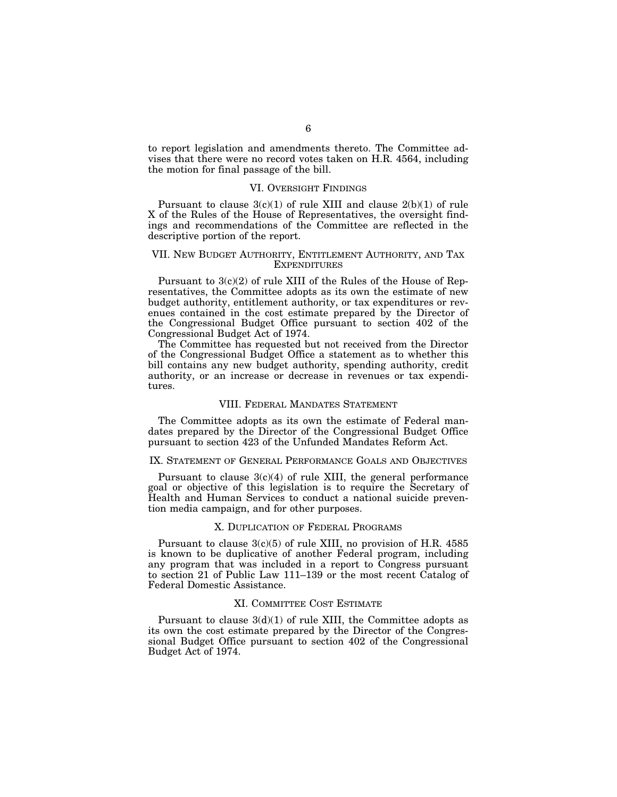to report legislation and amendments thereto. The Committee advises that there were no record votes taken on H.R. 4564, including the motion for final passage of the bill.

### VI. OVERSIGHT FINDINGS

Pursuant to clause  $3(c)(1)$  of rule XIII and clause  $2(b)(1)$  of rule X of the Rules of the House of Representatives, the oversight findings and recommendations of the Committee are reflected in the descriptive portion of the report.

#### VII. NEW BUDGET AUTHORITY, ENTITLEMENT AUTHORITY, AND TAX **EXPENDITURES**

Pursuant to 3(c)(2) of rule XIII of the Rules of the House of Representatives, the Committee adopts as its own the estimate of new budget authority, entitlement authority, or tax expenditures or revenues contained in the cost estimate prepared by the Director of the Congressional Budget Office pursuant to section 402 of the Congressional Budget Act of 1974.

The Committee has requested but not received from the Director of the Congressional Budget Office a statement as to whether this bill contains any new budget authority, spending authority, credit authority, or an increase or decrease in revenues or tax expenditures.

## VIII. FEDERAL MANDATES STATEMENT

The Committee adopts as its own the estimate of Federal mandates prepared by the Director of the Congressional Budget Office pursuant to section 423 of the Unfunded Mandates Reform Act.

## IX. STATEMENT OF GENERAL PERFORMANCE GOALS AND OBJECTIVES

Pursuant to clause  $3(c)(4)$  of rule XIII, the general performance goal or objective of this legislation is to require the Secretary of Health and Human Services to conduct a national suicide prevention media campaign, and for other purposes.

#### X. DUPLICATION OF FEDERAL PROGRAMS

Pursuant to clause  $3(c)(5)$  of rule XIII, no provision of H.R. 4585 is known to be duplicative of another Federal program, including any program that was included in a report to Congress pursuant to section 21 of Public Law 111–139 or the most recent Catalog of Federal Domestic Assistance.

## XI. COMMITTEE COST ESTIMATE

Pursuant to clause  $3(d)(1)$  of rule XIII, the Committee adopts as its own the cost estimate prepared by the Director of the Congressional Budget Office pursuant to section 402 of the Congressional Budget Act of 1974.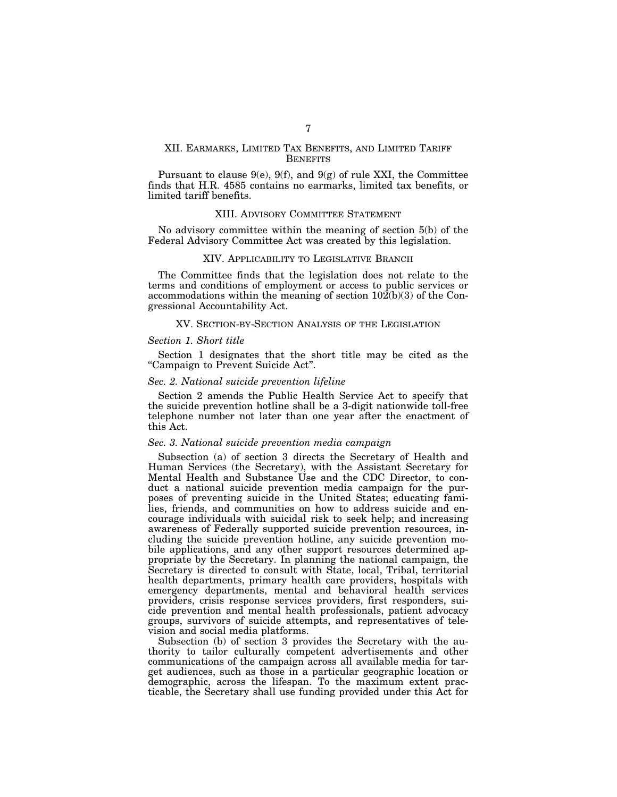## XII. EARMARKS, LIMITED TAX BENEFITS, AND LIMITED TARIFF **BENEFITS**

Pursuant to clause 9(e), 9(f), and 9(g) of rule XXI, the Committee finds that H.R. 4585 contains no earmarks, limited tax benefits, or limited tariff benefits.

#### XIII. ADVISORY COMMITTEE STATEMENT

No advisory committee within the meaning of section 5(b) of the Federal Advisory Committee Act was created by this legislation.

#### XIV. APPLICABILITY TO LEGISLATIVE BRANCH

The Committee finds that the legislation does not relate to the terms and conditions of employment or access to public services or accommodations within the meaning of section  $10\overline{2(b)}(3)$  of the Congressional Accountability Act.

#### XV. SECTION-BY-SECTION ANALYSIS OF THE LEGISLATION

#### *Section 1. Short title*

Section 1 designates that the short title may be cited as the ''Campaign to Prevent Suicide Act''.

## *Sec. 2. National suicide prevention lifeline*

Section 2 amends the Public Health Service Act to specify that the suicide prevention hotline shall be a 3-digit nationwide toll-free telephone number not later than one year after the enactment of this Act.

#### *Sec. 3. National suicide prevention media campaign*

Subsection (a) of section 3 directs the Secretary of Health and Human Services (the Secretary), with the Assistant Secretary for Mental Health and Substance Use and the CDC Director, to conduct a national suicide prevention media campaign for the purposes of preventing suicide in the United States; educating families, friends, and communities on how to address suicide and encourage individuals with suicidal risk to seek help; and increasing awareness of Federally supported suicide prevention resources, including the suicide prevention hotline, any suicide prevention mobile applications, and any other support resources determined appropriate by the Secretary. In planning the national campaign, the Secretary is directed to consult with State, local, Tribal, territorial health departments, primary health care providers, hospitals with emergency departments, mental and behavioral health services providers, crisis response services providers, first responders, suicide prevention and mental health professionals, patient advocacy groups, survivors of suicide attempts, and representatives of television and social media platforms.

Subsection (b) of section 3 provides the Secretary with the authority to tailor culturally competent advertisements and other communications of the campaign across all available media for target audiences, such as those in a particular geographic location or demographic, across the lifespan. To the maximum extent practicable, the Secretary shall use funding provided under this Act for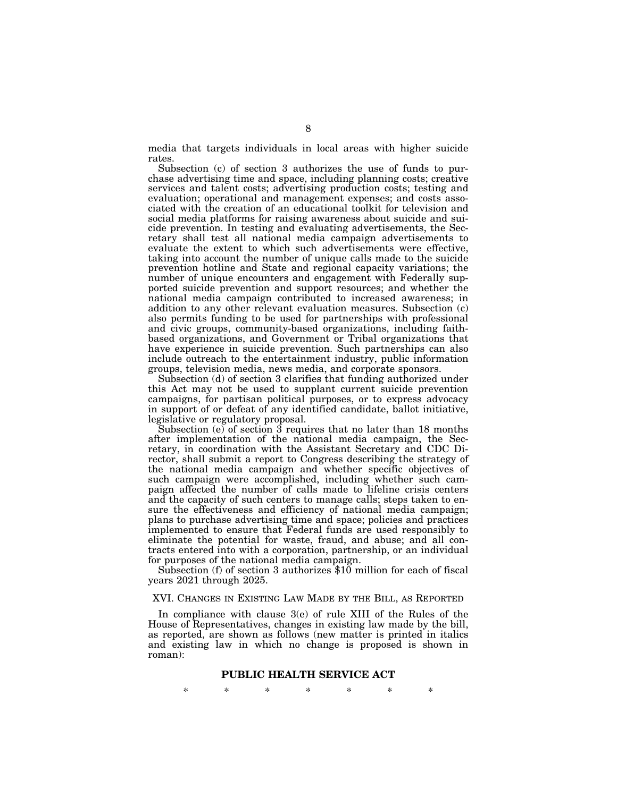media that targets individuals in local areas with higher suicide rates.

Subsection (c) of section 3 authorizes the use of funds to purchase advertising time and space, including planning costs; creative services and talent costs; advertising production costs; testing and evaluation; operational and management expenses; and costs associated with the creation of an educational toolkit for television and social media platforms for raising awareness about suicide and suicide prevention. In testing and evaluating advertisements, the Secretary shall test all national media campaign advertisements to evaluate the extent to which such advertisements were effective, taking into account the number of unique calls made to the suicide prevention hotline and State and regional capacity variations; the number of unique encounters and engagement with Federally supported suicide prevention and support resources; and whether the national media campaign contributed to increased awareness; in addition to any other relevant evaluation measures. Subsection (c) also permits funding to be used for partnerships with professional and civic groups, community-based organizations, including faithbased organizations, and Government or Tribal organizations that have experience in suicide prevention. Such partnerships can also include outreach to the entertainment industry, public information groups, television media, news media, and corporate sponsors.

Subsection (d) of section 3 clarifies that funding authorized under this Act may not be used to supplant current suicide prevention campaigns, for partisan political purposes, or to express advocacy in support of or defeat of any identified candidate, ballot initiative, legislative or regulatory proposal.

Subsection (e) of section 3 requires that no later than 18 months after implementation of the national media campaign, the Secretary, in coordination with the Assistant Secretary and CDC Director, shall submit a report to Congress describing the strategy of the national media campaign and whether specific objectives of such campaign were accomplished, including whether such campaign affected the number of calls made to lifeline crisis centers and the capacity of such centers to manage calls; steps taken to ensure the effectiveness and efficiency of national media campaign; plans to purchase advertising time and space; policies and practices implemented to ensure that Federal funds are used responsibly to eliminate the potential for waste, fraud, and abuse; and all contracts entered into with a corporation, partnership, or an individual

for purposes of the national media campaign. Subsection (f) of section 3 authorizes \$10 million for each of fiscal years 2021 through 2025.

#### XVI. CHANGES IN EXISTING LAW MADE BY THE BILL, AS REPORTED

In compliance with clause 3(e) of rule XIII of the Rules of the House of Representatives, changes in existing law made by the bill, as reported, are shown as follows (new matter is printed in italics and existing law in which no change is proposed is shown in roman):

#### **PUBLIC HEALTH SERVICE ACT**

\* \* \* \* \* \* \*